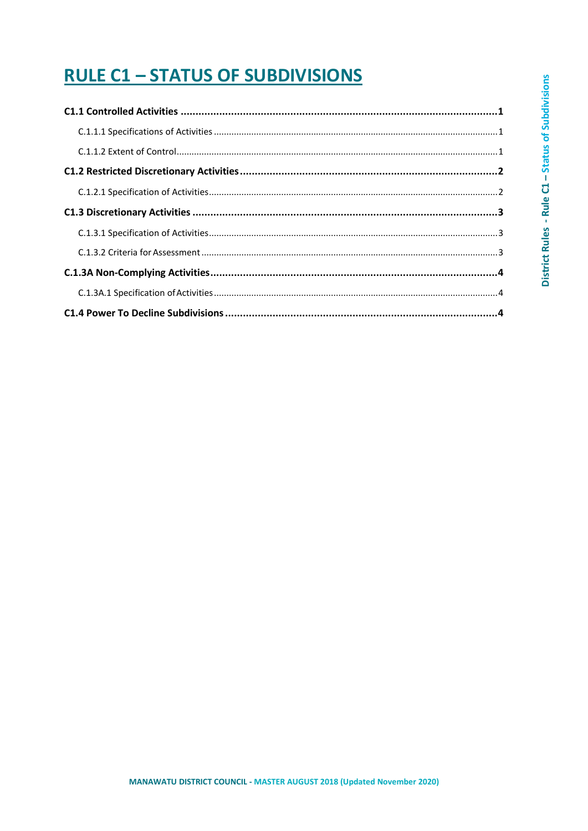# District Rules - Rule C1 - Status of Subdivisions

# **RULE C1 - STATUS OF SUBDIVISIONS**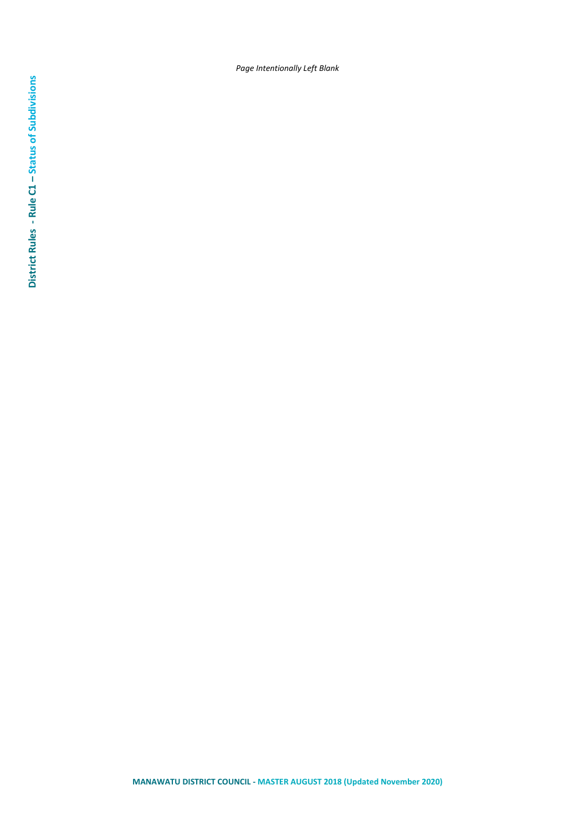*Page Intentionally Left Blank*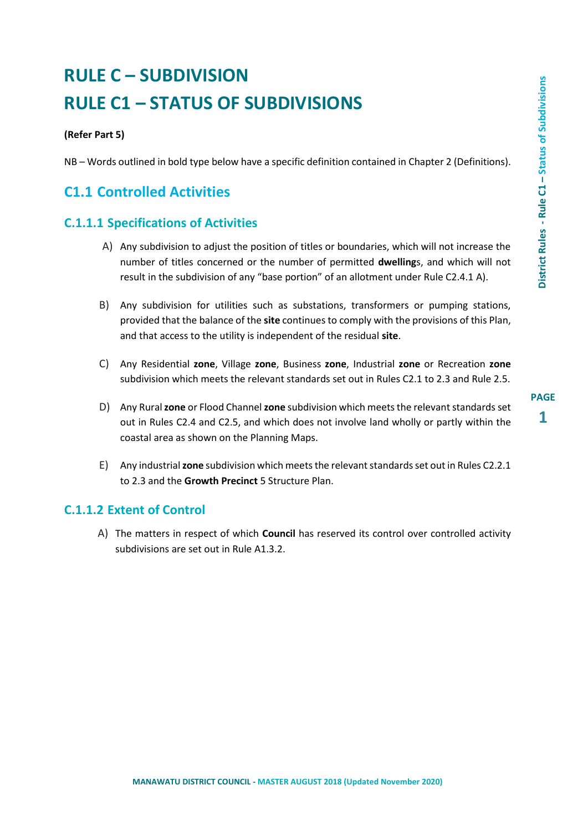# **RULE C – SUBDIVISION RULE C1 – STATUS OF SUBDIVISIONS**

#### **(Refer Part 5)**

NB – Words outlined in bold type below have a specific definition contained in Chapter 2 (Definitions).

## <span id="page-2-0"></span>**C1.1 Controlled Activities**

#### <span id="page-2-1"></span>**C.1.1.1 Specifications of Activities**

- A) Any subdivision to adjust the position of titles or boundaries, which will not increase the number of titles concerned or the number of permitted **dwelling**s, and which will not result in the subdivision of any "base portion" of an allotment under Rule C2.4.1 A).
- B) Any subdivision for utilities such as substations, transformers or pumping stations, provided that the balance of the **site** continues to comply with the provisions of this Plan, and that access to the utility is independent of the residual **site**.
- C) Any Residential **zone**, Village **zone**, Business **zone**, Industrial **zone** or Recreation **zone** subdivision which meets the relevant standards set out in Rules C2.1 to 2.3 and Rule 2.5.
- D) Any Rural **zone** or Flood Channel **zone** subdivision which meets the relevant standards set out in Rules C2.4 and C2.5, and which does not involve land wholly or partly within the coastal area as shown on the Planning Maps.
- E) Any industrial **zone** subdivision which meets the relevant standards set out in Rules C2.2.1 to 2.3 and the **Growth Precinct** 5 Structure Plan.

#### <span id="page-2-2"></span>**C.1.1.2 Extent of Control**

A) The matters in respect of which **Council** has reserved its control over controlled activity subdivisions are set out in Rule A1.3.2.

**PAGE 1**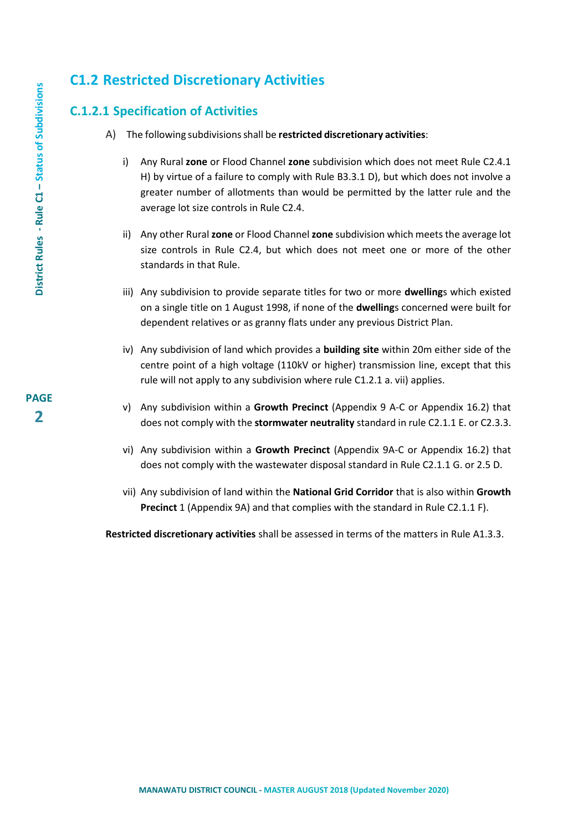# <span id="page-3-0"></span>**C1.2 Restricted Discretionary Activities**

#### <span id="page-3-1"></span>**C.1.2.1 Specification of Activities**

- A) The following subdivisionsshall be **restricted discretionary activities**:
	- i) Any Rural **zone** or Flood Channel **zone** subdivision which does not meet Rule C2.4.1 H) by virtue of a failure to comply with Rule B3.3.1 D), but which does not involve a greater number of allotments than would be permitted by the latter rule and the average lot size controls in Rule C2.4.
	- ii) Any other Rural**zone** or Flood Channel**zone** subdivision which meets the average lot size controls in Rule C2.4, but which does not meet one or more of the other standards in that Rule.
	- iii) Any subdivision to provide separate titles for two or more **dwelling**s which existed on a single title on 1 August 1998, if none of the **dwelling**s concerned were built for dependent relatives or as granny flats under any previous District Plan.
	- iv) Any subdivision of land which provides a **building site** within 20m either side of the centre point of a high voltage (110kV or higher) transmission line, except that this rule will not apply to any subdivision where rule C1.2.1 a. vii) applies.
	- v) Any subdivision within a **Growth Precinct** (Appendix 9 A-C or Appendix 16.2) that does not comply with the **stormwater neutrality** standard in rule C2.1.1 E. or C2.3.3.
	- vi) Any subdivision within a **Growth Precinct** (Appendix 9A-C or Appendix 16.2) that does not comply with the wastewater disposal standard in Rule C2.1.1 G. or 2.5 D.
	- vii) Any subdivision of land within the **National Grid Corridor** that is also within **Growth Precinct** 1 (Appendix 9A) and that complies with the standard in Rule C2.1.1 F).

**Restricted discretionary activities** shall be assessed in terms of the matters in Rule A1.3.3.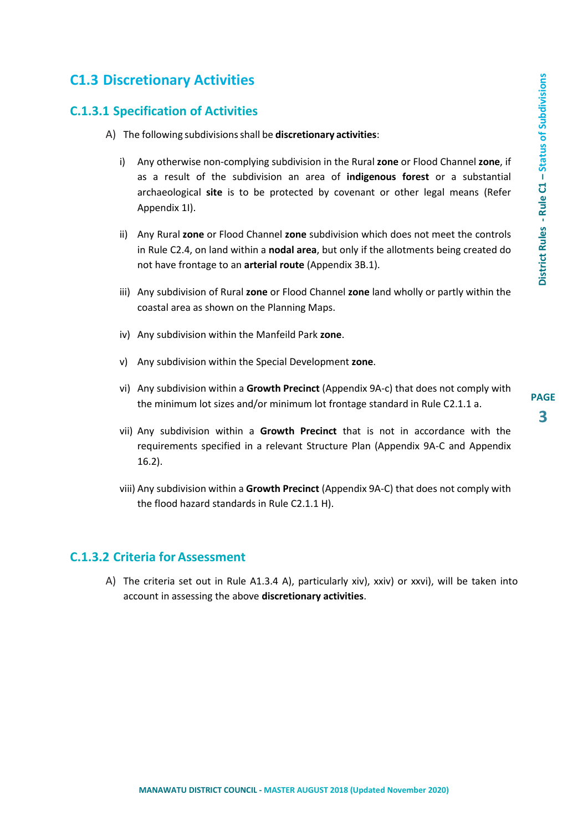### <span id="page-4-0"></span>**C1.3 Discretionary Activities**

#### <span id="page-4-1"></span>**C.1.3.1 Specification of Activities**

- A) The following subdivisionsshall be **discretionary activities**:
	- i) Any otherwise non-complying subdivision in the Rural **zone** or Flood Channel **zone**, if as a result of the subdivision an area of **indigenous forest** or a substantial archaeological **site** is to be protected by covenant or other legal means (Refer Appendix 1I).
	- ii) Any Rural **zone** or Flood Channel **zone** subdivision which does not meet the controls in Rule C2.4, on land within a **nodal area**, but only if the allotments being created do not have frontage to an **arterial route** (Appendix 3B.1).
	- iii) Any subdivision of Rural **zone** or Flood Channel **zone** land wholly or partly within the coastal area as shown on the Planning Maps.
	- iv) Any subdivision within the Manfeild Park **zone**.
	- v) Any subdivision within the Special Development **zone**.
	- vi) Any subdivision within a **Growth Precinct** (Appendix 9A-c) that does not comply with the minimum lot sizes and/or minimum lot frontage standard in Rule C2.1.1 a.
	- vii) Any subdivision within a **Growth Precinct** that is not in accordance with the requirements specified in a relevant Structure Plan (Appendix 9A-C and Appendix 16.2).
	- viii) Any subdivision within a **Growth Precinct** (Appendix 9A-C) that does not comply with the flood hazard standards in Rule C2.1.1 H).

#### <span id="page-4-2"></span>**C.1.3.2 Criteria for Assessment**

A) The criteria set out in Rule A1.3.4 A), particularly xiv), xxiv) or xxvi), will be taken into account in assessing the above **discretionary activities**.

**PAGE 3**